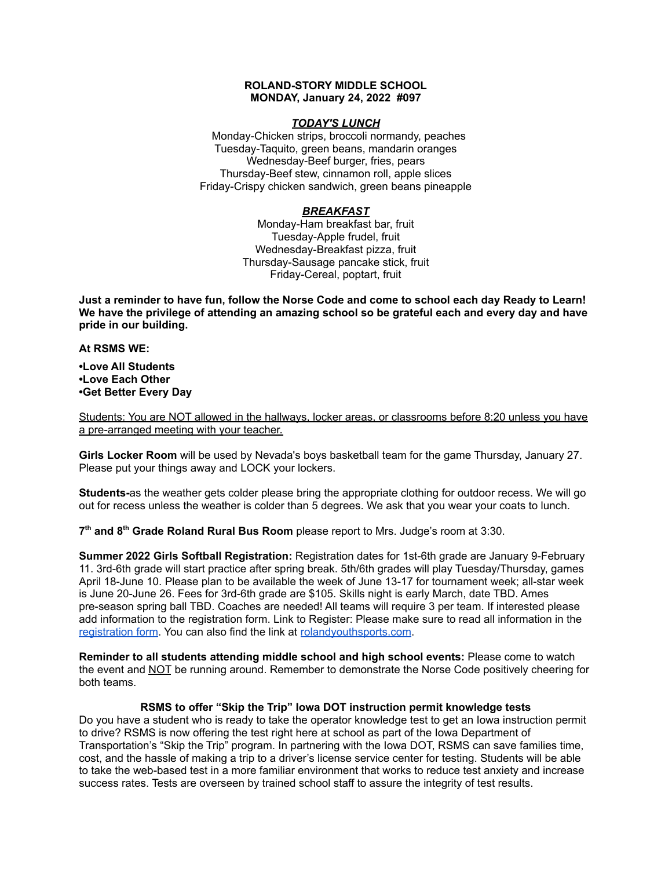# **ROLAND-STORY MIDDLE SCHOOL MONDAY, January 24, 2022 #097**

## *TODAY'S LUNCH*

Monday-Chicken strips, broccoli normandy, peaches Tuesday-Taquito, green beans, mandarin oranges Wednesday-Beef burger, fries, pears Thursday-Beef stew, cinnamon roll, apple slices Friday-Crispy chicken sandwich, green beans pineapple

# *BREAKFAST*

Monday-Ham breakfast bar, fruit Tuesday-Apple frudel, fruit Wednesday-Breakfast pizza, fruit Thursday-Sausage pancake stick, fruit Friday-Cereal, poptart, fruit

Just a reminder to have fun, follow the Norse Code and come to school each day Ready to Learn! **We have the privilege of attending an amazing school so be grateful each and every day and have pride in our building.**

### **At RSMS WE:**

**•Love All Students •Love Each Other •Get Better Every Day**

Students: You are NOT allowed in the hallways, locker areas, or classrooms before 8:20 unless you have a pre-arranged meeting with your teacher.

**Girls Locker Room** will be used by Nevada's boys basketball team for the game Thursday, January 27. Please put your things away and LOCK your lockers.

**Students-**as the weather gets colder please bring the appropriate clothing for outdoor recess. We will go out for recess unless the weather is colder than 5 degrees. We ask that you wear your coats to lunch.

**7 th and 8 th Grade Roland Rural Bus Room** please report to Mrs. Judge's room at 3:30.

**Summer 2022 Girls Softball Registration:** Registration dates for 1st-6th grade are January 9-February 11. 3rd-6th grade will start practice after spring break. 5th/6th grades will play Tuesday/Thursday, games April 18-June 10. Please plan to be available the week of June 13-17 for tournament week; all-star week is June 20-June 26. Fees for 3rd-6th grade are \$105. Skills night is early March, date TBD. Ames pre-season spring ball TBD. Coaches are needed! All teams will require 3 per team. If interested please add information to the registration form. Link to Register: Please make sure to read all information in th[e](https://rolandyouthsports.com/summer-2022-softball-registration-form/) [registration](https://rolandyouthsports.com/summer-2022-softball-registration-form/) form. You can also find the link at [rolandyouthsports.com](http://rolandyouthsports.com/).

**Reminder to all students attending middle school and high school events:** Please come to watch the event and NOT be running around. Remember to demonstrate the Norse Code positively cheering for both teams.

### **RSMS to offer "Skip the Trip" Iowa DOT instruction permit knowledge tests**

Do you have a student who is ready to take the operator knowledge test to get an Iowa instruction permit to drive? RSMS is now offering the test right here at school as part of the Iowa Department of Transportation's "Skip the Trip" program. In partnering with the Iowa DOT, RSMS can save families time, cost, and the hassle of making a trip to a driver's license service center for testing. Students will be able to take the web-based test in a more familiar environment that works to reduce test anxiety and increase success rates. Tests are overseen by trained school staff to assure the integrity of test results.